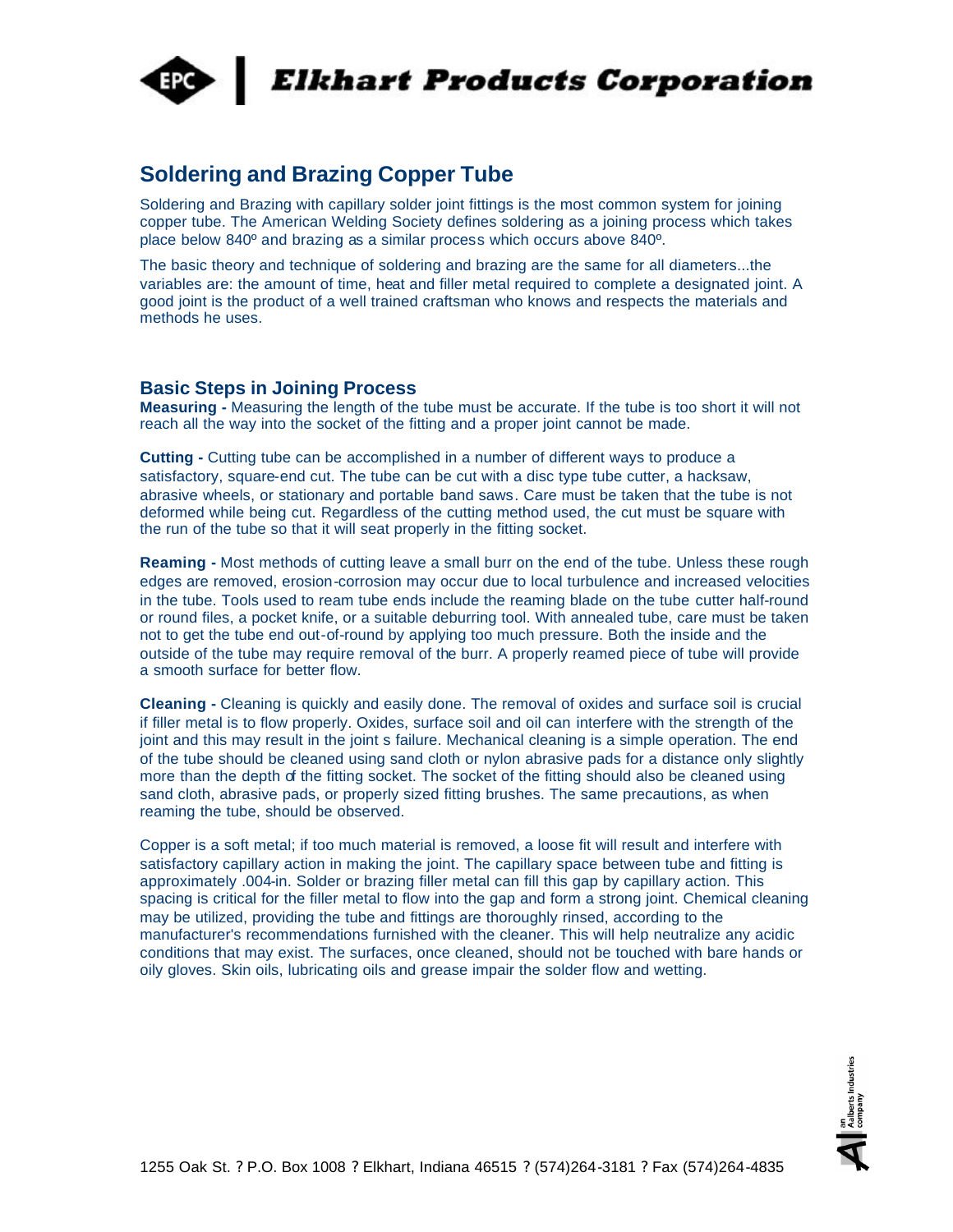

# **Elkhart Products Corporation**

# **Soldering and Brazing Copper Tube**

Soldering and Brazing with capillary solder joint fittings is the most common system for joining copper tube. The American Welding Society defines soldering as a joining process which takes place below 840º and brazing as a similar process which occurs above 840º.

The basic theory and technique of soldering and brazing are the same for all diameters...the variables are: the amount of time, heat and filler metal required to complete a designated joint. A good joint is the product of a well trained craftsman who knows and respects the materials and methods he uses.

#### **Basic Steps in Joining Process**

**Measuring -** Measuring the length of the tube must be accurate. If the tube is too short it will not reach all the way into the socket of the fitting and a proper joint cannot be made.

**Cutting -** Cutting tube can be accomplished in a number of different ways to produce a satisfactory, square-end cut. The tube can be cut with a disc type tube cutter, a hacksaw, abrasive wheels, or stationary and portable band saws. Care must be taken that the tube is not deformed while being cut. Regardless of the cutting method used, the cut must be square with the run of the tube so that it will seat properly in the fitting socket.

**Reaming -** Most methods of cutting leave a small burr on the end of the tube. Unless these rough edges are removed, erosion-corrosion may occur due to local turbulence and increased velocities in the tube. Tools used to ream tube ends include the reaming blade on the tube cutter half-round or round files, a pocket knife, or a suitable deburring tool. With annealed tube, care must be taken not to get the tube end out-of-round by applying too much pressure. Both the inside and the outside of the tube may require removal of the burr. A properly reamed piece of tube will provide a smooth surface for better flow.

**Cleaning -** Cleaning is quickly and easily done. The removal of oxides and surface soil is crucial if filler metal is to flow properly. Oxides, surface soil and oil can interfere with the strength of the joint and this may result in the joint s failure. Mechanical cleaning is a simple operation. The end of the tube should be cleaned using sand cloth or nylon abrasive pads for a distance only slightly more than the depth of the fitting socket. The socket of the fitting should also be cleaned using sand cloth, abrasive pads, or properly sized fitting brushes. The same precautions, as when reaming the tube, should be observed.

Copper is a soft metal; if too much material is removed, a loose fit will result and interfere with satisfactory capillary action in making the joint. The capillary space between tube and fitting is approximately .004-in. Solder or brazing filler metal can fill this gap by capillary action. This spacing is critical for the filler metal to flow into the gap and form a strong joint. Chemical cleaning may be utilized, providing the tube and fittings are thoroughly rinsed, according to the manufacturer's recommendations furnished with the cleaner. This will help neutralize any acidic conditions that may exist. The surfaces, once cleaned, should not be touched with bare hands or oily gloves. Skin oils, lubricating oils and grease impair the solder flow and wetting.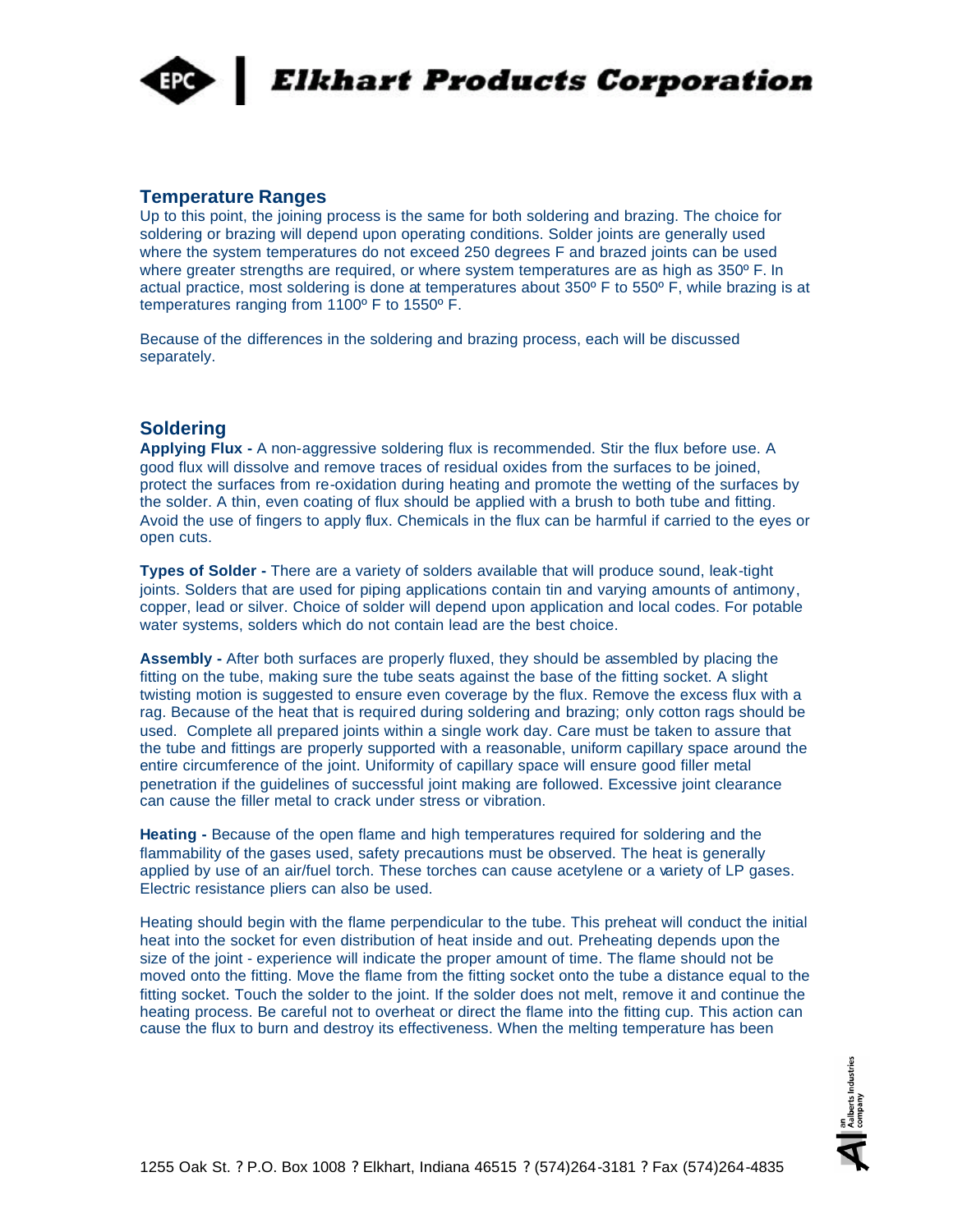

## **Temperature Ranges**

Up to this point, the joining process is the same for both soldering and brazing. The choice for soldering or brazing will depend upon operating conditions. Solder joints are generally used where the system temperatures do not exceed 250 degrees F and brazed joints can be used where greater strengths are required, or where system temperatures are as high as 350° F. In actual practice, most soldering is done at temperatures about 350º F to 550º F, while brazing is at temperatures ranging from 1100º F to 1550º F.

Because of the differences in the soldering and brazing process, each will be discussed separately.

## **Soldering**

**Applying Flux -** A non-aggressive soldering flux is recommended. Stir the flux before use. A good flux will dissolve and remove traces of residual oxides from the surfaces to be joined, protect the surfaces from re-oxidation during heating and promote the wetting of the surfaces by the solder. A thin, even coating of flux should be applied with a brush to both tube and fitting. Avoid the use of fingers to apply flux. Chemicals in the flux can be harmful if carried to the eyes or open cuts.

**Types of Solder -** There are a variety of solders available that will produce sound, leak-tight joints. Solders that are used for piping applications contain tin and varying amounts of antimony, copper, lead or silver. Choice of solder will depend upon application and local codes. For potable water systems, solders which do not contain lead are the best choice.

**Assembly -** After both surfaces are properly fluxed, they should be assembled by placing the fitting on the tube, making sure the tube seats against the base of the fitting socket. A slight twisting motion is suggested to ensure even coverage by the flux. Remove the excess flux with a rag. Because of the heat that is required during soldering and brazing; only cotton rags should be used. Complete all prepared joints within a single work day. Care must be taken to assure that the tube and fittings are properly supported with a reasonable, uniform capillary space around the entire circumference of the joint. Uniformity of capillary space will ensure good filler metal penetration if the guidelines of successful joint making are followed. Excessive joint clearance can cause the filler metal to crack under stress or vibration.

**Heating -** Because of the open flame and high temperatures required for soldering and the flammability of the gases used, safety precautions must be observed. The heat is generally applied by use of an air/fuel torch. These torches can cause acetylene or a variety of LP gases. Electric resistance pliers can also be used.

Heating should begin with the flame perpendicular to the tube. This preheat will conduct the initial heat into the socket for even distribution of heat inside and out. Preheating depends upon the size of the joint - experience will indicate the proper amount of time. The flame should not be moved onto the fitting. Move the flame from the fitting socket onto the tube a distance equal to the fitting socket. Touch the solder to the joint. If the solder does not melt, remove it and continue the heating process. Be careful not to overheat or direct the flame into the fitting cup. This action can cause the flux to burn and destroy its effectiveness. When the melting temperature has been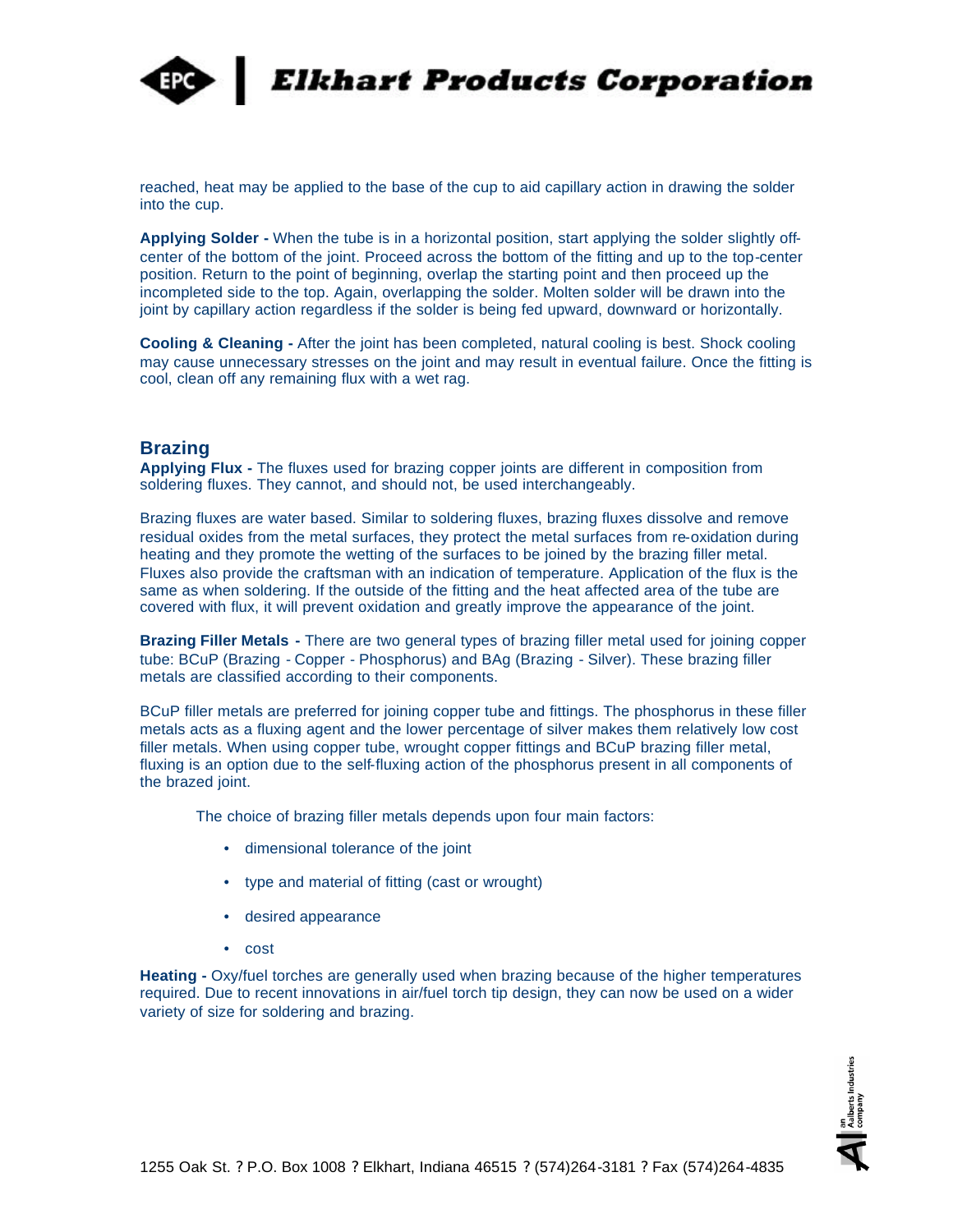

**Elkhart Products Corporation** 

reached, heat may be applied to the base of the cup to aid capillary action in drawing the solder into the cup.

**Applying Solder -** When the tube is in a horizontal position, start applying the solder slightly offcenter of the bottom of the joint. Proceed across the bottom of the fitting and up to the top-center position. Return to the point of beginning, overlap the starting point and then proceed up the incompleted side to the top. Again, overlapping the solder. Molten solder will be drawn into the joint by capillary action regardless if the solder is being fed upward, downward or horizontally.

**Cooling & Cleaning -** After the joint has been completed, natural cooling is best. Shock cooling may cause unnecessary stresses on the joint and may result in eventual failure. Once the fitting is cool, clean off any remaining flux with a wet rag.

#### **Brazing**

**Applying Flux -** The fluxes used for brazing copper joints are different in composition from soldering fluxes. They cannot, and should not, be used interchangeably.

Brazing fluxes are water based. Similar to soldering fluxes, brazing fluxes dissolve and remove residual oxides from the metal surfaces, they protect the metal surfaces from re-oxidation during heating and they promote the wetting of the surfaces to be joined by the brazing filler metal. Fluxes also provide the craftsman with an indication of temperature. Application of the flux is the same as when soldering. If the outside of the fitting and the heat affected area of the tube are covered with flux, it will prevent oxidation and greatly improve the appearance of the joint.

**Brazing Filler Metals -** There are two general types of brazing filler metal used for joining copper tube: BCuP (Brazing - Copper - Phosphorus) and BAg (Brazing - Silver). These brazing filler metals are classified according to their components.

BCuP filler metals are preferred for joining copper tube and fittings. The phosphorus in these filler metals acts as a fluxing agent and the lower percentage of silver makes them relatively low cost filler metals. When using copper tube, wrought copper fittings and BCuP brazing filler metal, fluxing is an option due to the self-fluxing action of the phosphorus present in all components of the brazed joint.

The choice of brazing filler metals depends upon four main factors:

- dimensional tolerance of the joint
- type and material of fitting (cast or wrought)
- desired appearance
- cost

**Heating -** Oxy/fuel torches are generally used when brazing because of the higher temperatures required. Due to recent innovations in air/fuel torch tip design, they can now be used on a wider variety of size for soldering and brazing.